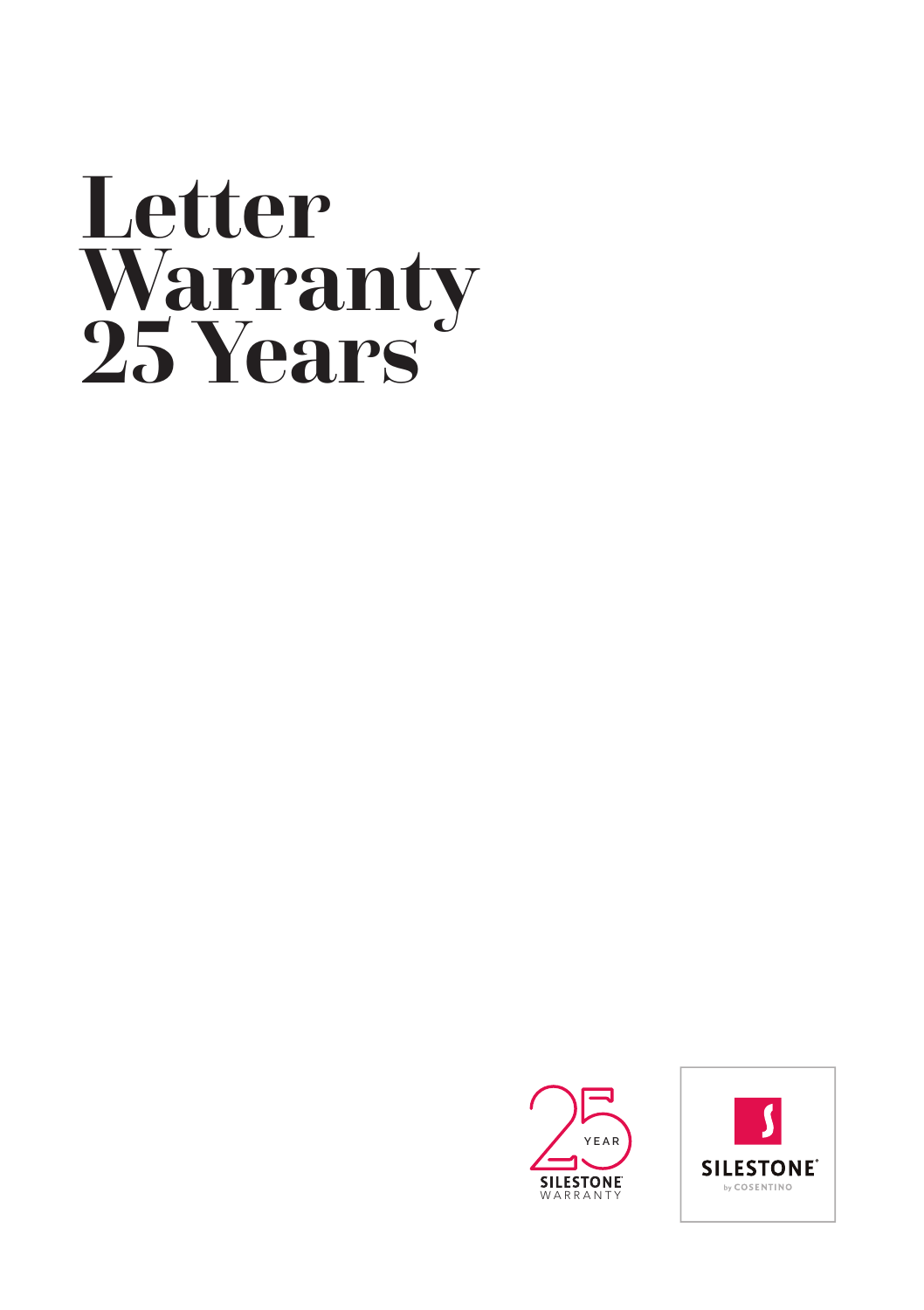# **Letter Warranty 25 Years**



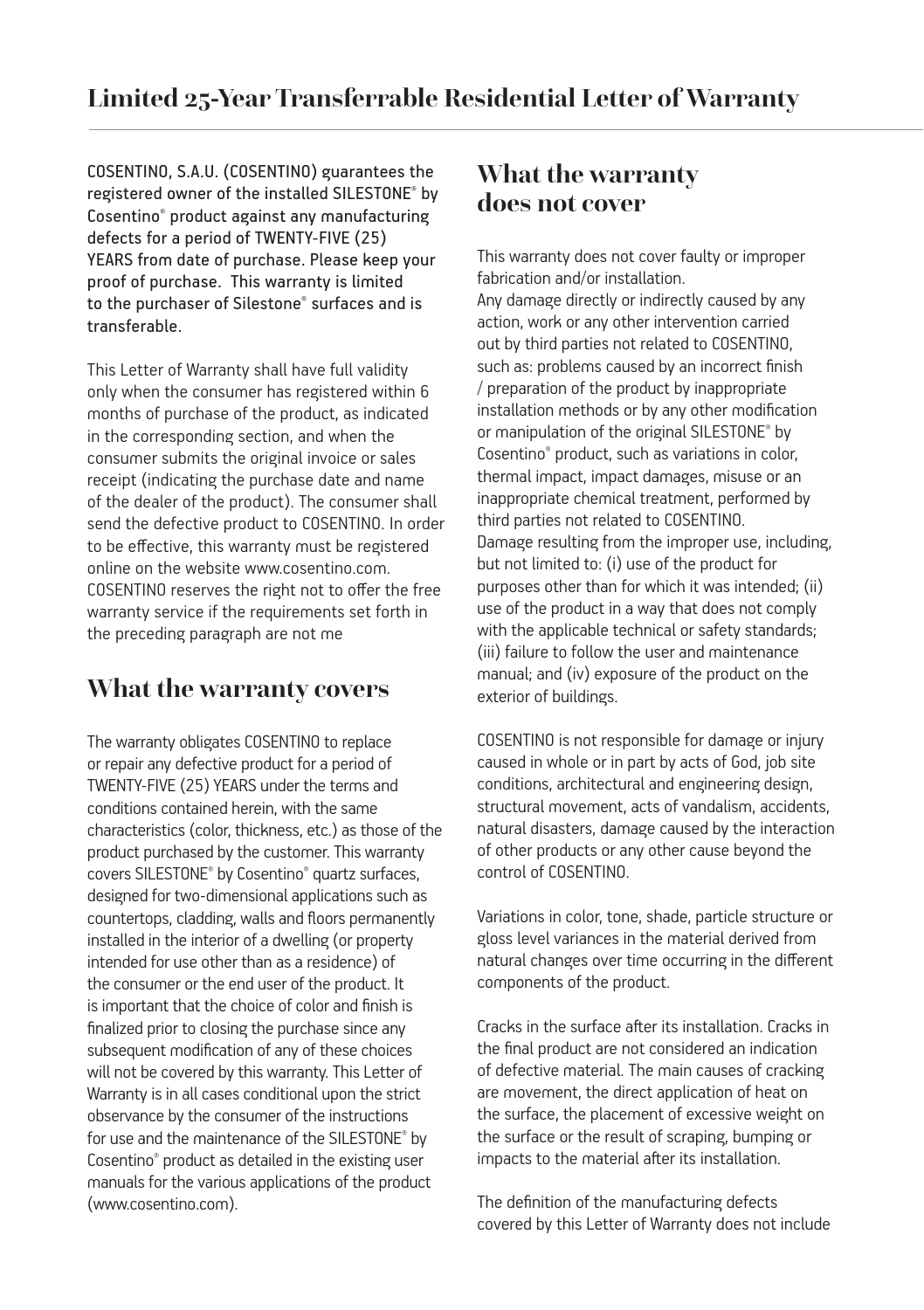COSENTINO, S.A.U. (COSENTINO) guarantees the registered owner of the installed SILESTONE® by Cosentino® product against any manufacturing defects for a period of TWENTY-FIVE (25) YEARS from date of purchase. Please keep your proof of purchase. This warranty is limited to the purchaser of Silestone® surfaces and is **transferable** 

This Letter of Warranty shall have full validity only when the consumer has registered within 6 months of purchase of the product, as indicated in the corresponding section, and when the consumer submits the original invoice or sales receipt (indicating the purchase date and name of the dealer of the product). The consumer shall send the defective product to COSENTINO. In order to be effective, this warranty must be registered online on the website www.cosentino.com. COSENTINO reserves the right not to offer the free warranty service if the requirements set forth in the preceding paragraph are not me

# **What the warranty covers**

The warranty obligates COSENTINO to replace or repair any defective product for a period of TWENTY-FIVE (25) YEARS under the terms and conditions contained herein, with the same characteristics (color, thickness, etc.) as those of the product purchased by the customer. This warranty covers SILESTONE® by Cosentino® quartz surfaces, designed for two-dimensional applications such as countertops, cladding, walls and floors permanently installed in the interior of a dwelling (or property intended for use other than as a residence) of the consumer or the end user of the product. It is important that the choice of color and finish is finalized prior to closing the purchase since any subsequent modification of any of these choices will not be covered by this warranty. This Letter of Warranty is in all cases conditional upon the strict observance by the consumer of the instructions for use and the maintenance of the SILESTONE® by Cosentino® product as detailed in the existing user manuals for the various applications of the product (www.cosentino.com).

## **What the warranty does not cover**

This warranty does not cover faulty or improper fabrication and/or installation. Any damage directly or indirectly caused by any action, work or any other intervention carried out by third parties not related to COSENTINO, such as: problems caused by an incorrect finish / preparation of the product by inappropriate installation methods or by any other modification or manipulation of the original SILESTONE® by Cosentino® product, such as variations in color, thermal impact, impact damages, misuse or an inappropriate chemical treatment, performed by third parties not related to COSENTINO. Damage resulting from the improper use, including, but not limited to: (i) use of the product for purposes other than for which it was intended; (ii) use of the product in a way that does not comply with the applicable technical or safety standards; (iii) failure to follow the user and maintenance manual; and (iv) exposure of the product on the exterior of buildings.

COSENTINO is not responsible for damage or injury caused in whole or in part by acts of God, job site conditions, architectural and engineering design, structural movement, acts of vandalism, accidents natural disasters, damage caused by the interaction of other products or any other cause beyond the control of COSENTINO.

Variations in color, tone, shade, particle structure or gloss level variances in the material derived from natural changes over time occurring in the different components of the product.

Cracks in the surface after its installation. Cracks in the final product are not considered an indication of defective material. The main causes of cracking are movement, the direct application of heat on the surface, the placement of excessive weight on the surface or the result of scraping, bumping or impacts to the material after its installation.

The definition of the manufacturing defects covered by this Letter of Warranty does not include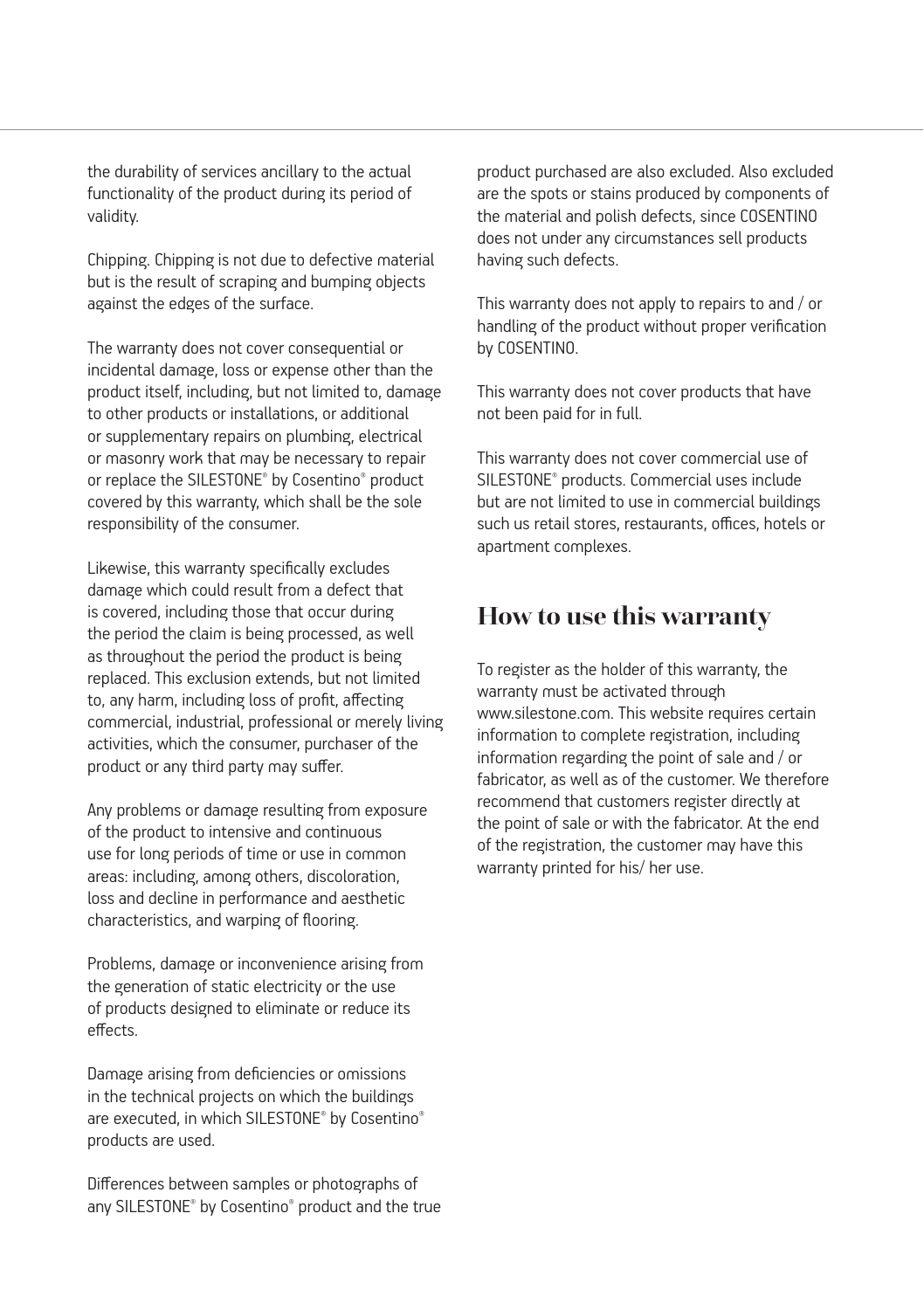the durability of services ancillary to the actual functionality of the product during its period of validity.

Chipping. Chipping is not due to defective material but is the result of scraping and bumping objects against the edges of the surface.

The warranty does not cover consequential or incidental damage, loss or expense other than the product itself, including, but not limited to, damage to other products or installations, or additional or supplementary repairs on plumbing, electrical or masonry work that may be necessary to repair or replace the SILESTONE® by Cosentino® product covered by this warranty, which shall be the sole responsibility of the consumer.

Likewise, this warranty specifically excludes damage which could result from a defect that is covered, including those that occur during the period the claim is being processed, as well as throughout the period the product is being replaced. This exclusion extends, but not limited to, any harm, including loss of profit, affecting commercial, industrial, professional or merely living activities, which the consumer, purchaser of the product or any third party may suffer.

Any problems or damage resulting from exposure of the product to intensive and continuous use for long periods of time or use in common areas: including, among others, discoloration, loss and decline in performance and aesthetic characteristics, and warping of flooring.

Problems, damage or inconvenience arising from the generation of static electricity or the use of products designed to eliminate or reduce its effects.

Damage arising from deficiencies or omissions in the technical projects on which the buildings are executed, in which SILESTONE® by Cosentino® products are used.

Differences between samples or photographs of any SILESTONE® by Cosentino® product and the true product purchased are also excluded. Also excluded are the spots or stains produced by components of the material and polish defects, since COSENTINO does not under any circumstances sell products having such defects.

This warranty does not apply to repairs to and / or handling of the product without proper verification by COSENTINO.

This warranty does not cover products that have not been paid for in full.

This warranty does not cover commercial use of SILESTONE® products. Commercial uses include but are not limited to use in commercial buildings such us retail stores, restaurants, offices, hotels or apartment complexes.

## **How to use this warranty**

To register as the holder of this warranty, the warranty must be activated through www.silestone.com. This website requires certain information to complete registration, including information regarding the point of sale and / or fabricator, as well as of the customer. We therefore recommend that customers register directly at the point of sale or with the fabricator. At the end of the registration, the customer may have this warranty printed for his/ her use.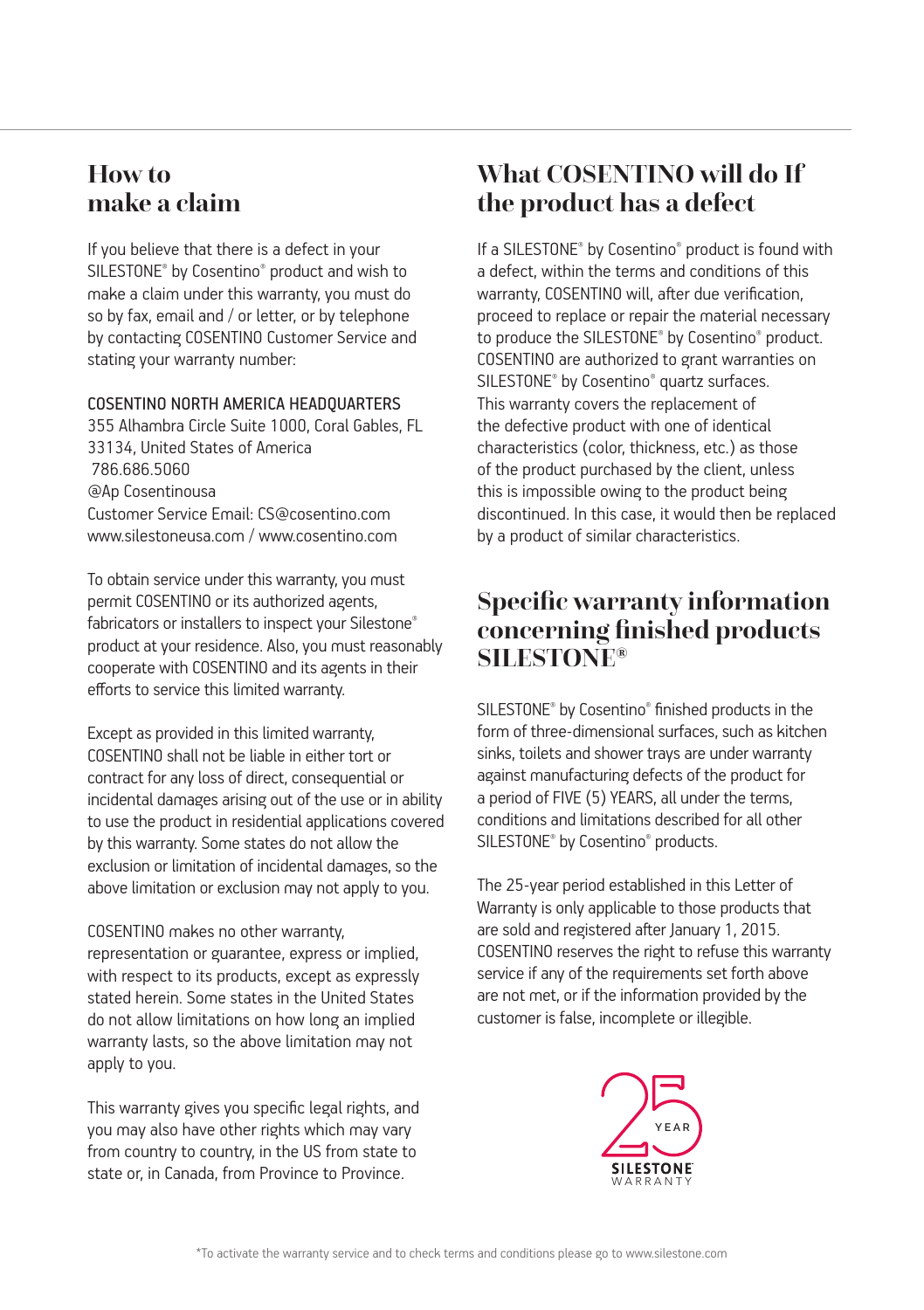## **How to make a claim**

If you believe that there is a defect in your SILESTONE® by Cosentino® product and wish to make a claim under this warranty, you must do so by fax, email and / or letter, or by telephone by contacting COSENTINO Customer Service and stating your warranty number:

#### COSENTINO NORTH AMERICA HEADQUARTERS

355 Alhambra Circle Suite 1000, Coral Gables, FL 33134, United States of America 786.686.5060 @Ap Cosentinousa Customer Service Email: CS@cosentino.com www.silestoneusa.com / www.cosentino.com

To obtain service under this warranty, you must permit COSENTINO or its authorized agents, fabricators or installers to inspect your Silestone® product at your residence. Also, you must reasonably cooperate with COSENTINO and its agents in their efforts to service this limited warranty.

Except as provided in this limited warranty, COSENTINO shall not be liable in either tort or contract for any loss of direct, consequential or incidental damages arising out of the use or in ability to use the product in residential applications covered by this warranty. Some states do not allow the exclusion or limitation of incidental damages, so the above limitation or exclusion may not apply to you.

#### COSENTINO makes no other warranty,

representation or guarantee, express or implied, with respect to its products, except as expressly stated herein. Some states in the United States do not allow limitations on how long an implied warranty lasts, so the above limitation may not apply to you.

This warranty gives you specific legal rights, and you may also have other rights which may vary from country to country, in the US from state to state or, in Canada, from Province to Province.

## **What COSENTINO will do If the product has a defect**

If a SILESTONE® by Cosentino® product is found with a defect, within the terms and conditions of this warranty, COSENTINO will, after due verification, proceed to replace or repair the material necessary to produce the SILESTONE® by Cosentino® product. COSENTINO are authorized to grant warranties on SILESTONE® by Cosentino® quartz surfaces. This warranty covers the replacement of the defective product with one of identical characteristics (color, thickness, etc.) as those of the product purchased by the client, unless this is impossible owing to the product being discontinued. In this case, it would then be replaced by a product of similar characteristics.

## **Specific warranty information concerning finished products SILESTONE®**

SILESTONE® by Cosentino® finished products in the form of three-dimensional surfaces, such as kitchen sinks, toilets and shower trays are under warranty against manufacturing defects of the product for a period of FIVE (5) YEARS, all under the terms, conditions and limitations described for all other SILESTONE® by Cosentino® products.

The 25-year period established in this Letter of Warranty is only applicable to those products that are sold and registered after January 1, 2015. COSENTINO reserves the right to refuse this warranty service if any of the requirements set forth above are not met, or if the information provided by the customer is false, incomplete or illegible.